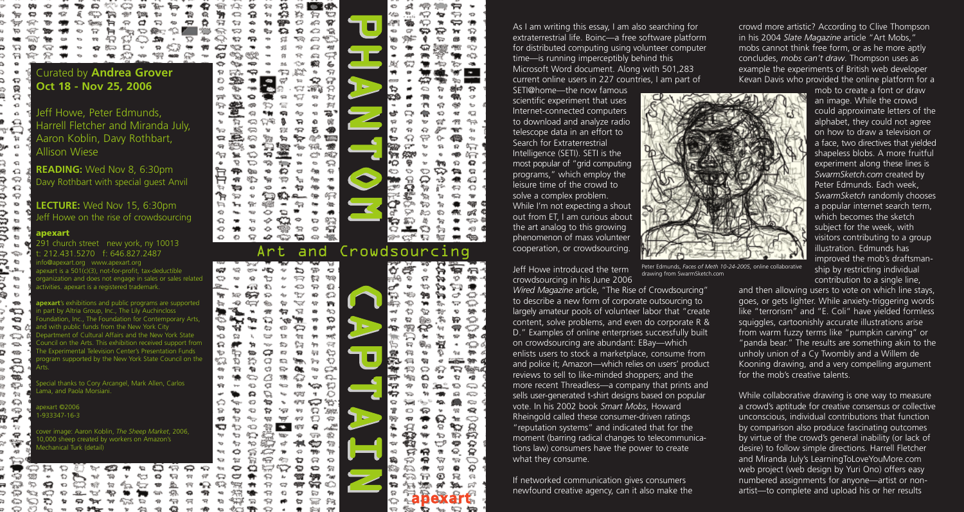As I am writing this essay, I am also searching for extraterrestrial life. Boinc—a free software platform for distributed computing using volunteer computer time—is running imperceptibly behind this Microsoft Word document. Along with 501,283 current online users in 227 countries, I am part of

SETI@home—the now famous scientific experiment that uses Internet-connected computers to download and analyze radio telescope data in an effort to Search for Extraterrestrial Intelligence (SETI). SETI is the most popular of "grid computing programs," which employ the leisure time of the crowd to solve a complex problem. While I'm not expecting a shout out from ET, I am curious about the art analog to this growing phenomenon of mass volunteer cooperation, or crowdsourcing.

Jeff Howe introduced the term crowdsourcing in his June 2006

*Wired Magazine* article, "The Rise of Crowdsourcing" to describe a new form of corporate outsourcing to largely amateur pools of volunteer labor that "create content, solve problems, and even do corporate R & D." Examples of online enterprises successfully built on crowdsourcing are abundant: EBay—which enlists users to stock a marketplace, consume from and police it; Amazon—which relies on users' product reviews to sell to like-minded shoppers; and the more recent Threadless—a company that prints and sells user-generated t-shirt designs based on popular vote. In his 2002 book *Smart Mobs*, Howard Rheingold called these consumer-driven ratings "reputation systems" and indicated that for the moment (barring radical changes to telecommunications law) consumers have the power to create what they consume.

If networked communication gives consumers newfound creative agency, can it also make the



crowd more artistic? According to Clive Thompson in his 2004 *Slate Magazine* article "Art Mobs," mobs cannot think free form, or as he more aptly concludes, *mobs can't draw*. Thompson uses as example the experiments of British web developer Kevan Davis who provided the online platform for a

mob to create a font or draw an image. While the crowd could approximate letters of the alphabet, they could not agree on how to draw a television or a face, two directives that yielded shapeless blobs. A more fruitful experiment along these lines is *SwarmSketch.com* created by Peter Edmunds. Each week, *SwarmSketch* randomly chooses a popular internet search term, which becomes the sketch subject for the week, with visitors contributing to a group illustration. Edmunds has improved the mob's draftsmanship by restricting individual contribution to a single line,

and then allowing users to vote on which line stays, goes, or gets lighter. While anxiety-triggering words like "terrorism" and "E. Coli" have yielded formless squiggles, cartoonishly accurate illustrations arise from warm fuzzy terms like "pumpkin carving" or "panda bear." The results are something akin to the unholy union of a Cy Twombly and a Willem de Kooning drawing, and a very compelling argument for the mob's creative talents.

While collaborative drawing is one way to measure a crowd's aptitude for creative consensus or collective unconscious, individual contributions that function by comparison also produce fascinating outcomes by virtue of the crowd's general inability (or lack of desire) to follow simple directions. Harrell Fletcher and Miranda July's LearningToLoveYouMore.com web project (web design by Yuri Ono) offers easy numbered assignments for anyone—artist or nonartist—to complete and upload his or her results

## **apexart**

⇔

និ

€

×0

 $\Omega$ 

⇔

€

⇔

 $\mathbf{x}$ 

**Kin** Ф ⇒ ÷.

fers

 $\mathbf{r}_{\mathbf{r}}$ 

Đ

**SD** 

☜

€

a.

⇔

S.

400

 $\circ$ 

€

**TOD** 

€

句

دینه

ళ⊋

ಿ ಸ್ ಗಾ

କ

⊕  $\approx$ 

ౚ ы

⇔ 50  $R_{\rm CO}$  $\eta_{\rm B}$ 

9

ు

っ

٣ to.

₿

291 church street new york, ny 10013 t: 212.431.5270 f: 646.827.2487 nfo@apexart.org www.apexart.org apexart is a 501(c)(3), not-for-profit, tax-deductible organization and does not engage in sales or sales related activities. apexart is a registered trademark.

**apexart**'s exhibitions and public programs are supported n part by Altria Group, Inc., The Lily Auchincloss Foundation, Inc., The Foundation for Contemporary Arts, and with public funds from the New York City ent of Cultural Affairs and the New York State on the Arts. This exhibition received support from The Experimental Television Center's Presentation Funds program supported by the New York State Council on the Arts.

Special thanks to Cory Arcangel, Mark Allen, Carlos Lama, and Paola Morsiani.

apexart ©2006 1-933347-16-3

> 抹  $\circ$

ю

аÒ

Ð

95)

Ð

O

 $\mathbf Q$  $\infty$ 

cover image: Aaron Koblin, *The Sheep Market*, 2006, 10,000 sheep created by workers on Amazon's Mechanical Turk (detail)

€

ਕਿ

r.

 $\begin{array}{ccccc}\n\text{A} & \text{B} & \text{B} & \text{B} & \text{A} & \text{A}\n\end{array}$ 

**50 99 20 %** 

**ROLL** O - 77

ৎশ

4ನ≾ ಟ

 $\tau_{\rm eff}$ 有 o

 $-\infty$ 459

 $\rightarrow$ ⊕

428.

**COMPANY** ÷, **SCP** ⇔ ≿ 钩 ø. Ó жR  $\bigcirc$ €  $\rightarrow$ ా 蠍  $\epsilon$ ☜  $\Rightarrow$ -57 å, లా to: ≎ ₽ 調整 台 ಳನ 49 টর 452 归 涵" Φo ×p. ٤x R  $\bullet$ 赠 ≪ 岩 帶 ౚ ç °≈ ⊕ి₹⊞ ₩ 妇 燈 ng. 968. CP. 262 ⇔ रा  $\bullet$ 肓 **KG**  $\leftrightarrow$ ٩œ 18 缅 180 ¢g≽ 经 做 蜀星 ÷ c  $\Leftrightarrow$ 52  $\circ$ 92  $\bullet$ ⇙ యు ಇ ÷ 书版

Curated by **Andrea Grover Oct 18 - Nov 25, 2006**

49: **50** 

4TS

O

▱

1004

物

 $\overline{v}$ Ô

Q 告

СÞ

53

éJ

92

Ð

59

 $\mathbf{v}_0$ 

 $\gamma_{\rm B}$ 

٩ø

 $\overline{\mathbf{u}}$ 

 $\overline{\mathbf{w}}$ 

↬

ኍ

O

⇔

ಞ

⇔

۹ř

如 -62

₩

∾

☜

۰o

⇔

¢,

43

働

⇔

锐

₩

9mg

⇔

☜

 $\eta_{\rm d}$ 

 $\frac{4}{36}$ 

-182 **RGS**  ⇔

ଳ କ

 $\overrightarrow{\tau}$ 

-90

 $rac{1}{2}$ 

**GZ** 

血

÷,

懧

4900

Jeff Howe, Peter Edmunds, Harrell Fletcher and Miranda July, Aaron Koblin, Davy Rothbart, Allison Wiese

**READING:** Wed Nov 8, 6:30pm Davy Rothbart with special guest Anvil

**LECTURE:** Wed Nov 15, 6:30pm Jeff Howe on the rise of crowdsourcing

> Peter Edmunds, *Faces of Meth 10-24-2005,* online collaborative drawing from SwarmSketch.com

N

O

A

N

 $\rightarrow$ 

 $\rightarrow$ 

O

**៦**ក។ ଙ୍କ ø ৯ ° 42 ⇔ ↩ ⇔ 52 98ь ☜  $\mathbf{v}$ ≎ 52 惢 ₩ R ∽ 铋 ₩ 47  $\bullet$ 4 T 6 俘 **fog** 四 w 9009aC 400 O ☜ ™agg Ö Ÿ. 噎 O G s2 40 G دە ≪ O ⊕ 98 ດ ≫ -97 the. O Ą ∾ 42 ₩ łþ. ጭ १६२ 43 QÓ. €ū セック ÷ ¢  $\eta_{\rm dr}$ 42 я ⇔ 雪 ◒ ₩ 竊 ⇔ ନ °W Ó  $\tilde{\varphi}$ t. డు 悌 ₩ Ø 59 ణ ਜ न्दि  $\epsilon$ 酒井路日 ₩ 螨 **apexart** ⊷



## $\overline{\mathbf{K}}$  $\mathbf{z}$ and Crowdsourcing  $\bigcap$  $\bigcap$ 4q A  $\blacktriangleright$ Ŵ ণৱ:  $\overline{\mathbf{D}}$  $\overline{\mathbf{U}}$ 朇  $\rightarrow$  $\rightarrow$ ပ A  $\blacktriangleright$

H

 $\overline{\mathbf{U}}$ 

 $\overline{\mathbf{D}}$ 

o

 $\omega$ 

æ

W3

ረዎ

eran

₽

¢,

û.

45

ಅ ⇔

ю

Ó  $\leftrightarrow$ 

 $\mathbb{C}^p$ ∾

w

ø

ా

eQ)

假 €

ଋ ♤ ÷ 像

↜ ↬

ନ

Y2 es. "趣

≠ಲ

Ø œ

⇔  $48$ 

⇔

**Sec** 

owr 922

ইত

12

Đ ₽

€Q.  $\bigcirc$ 

నా ఆ

**W D** 

-92

eQ.

分

 $\circ$ 

 $\mathbf{t}_{\mathrm{B}}$ 

œ.

 $\Leftrightarrow$ 

做

G

æ,

 $\mathbf{w}$ 

450

em.

e@

☜

ය? ඉ

ಲ

చూ

⇔ ÷

D బ 俩

₩

☜

O ุ

452 ੇ ਅ  $\overline{\phantom{a}}$ 

 $\mathbf T$ 

**H** 

 $\blacktriangleright$